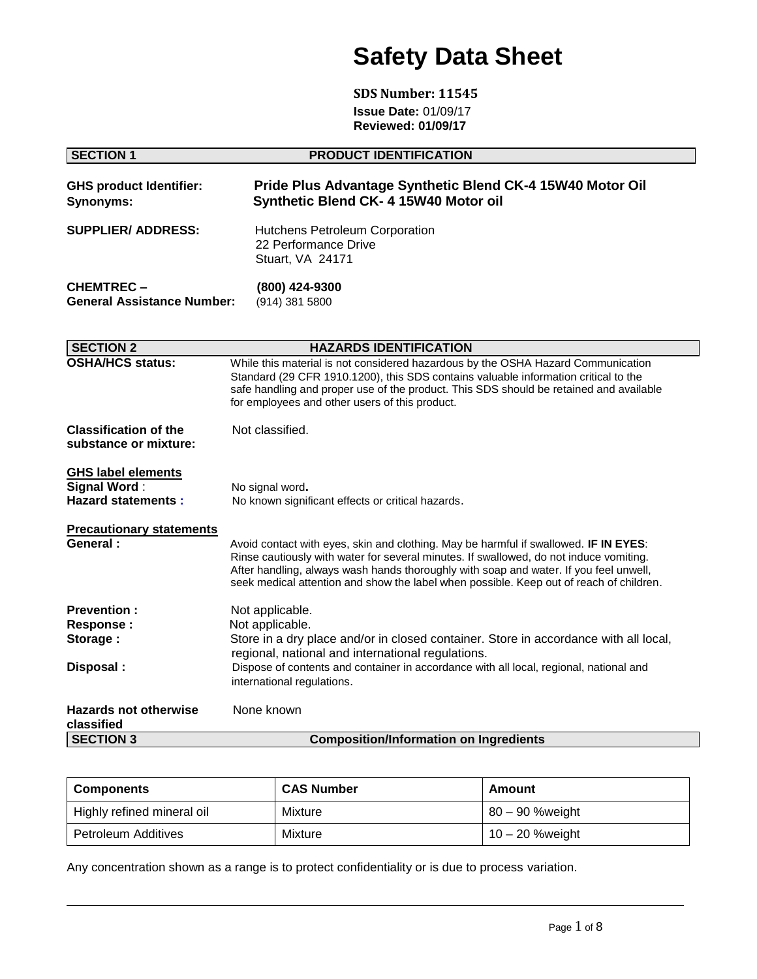# **Safety Data Sheet**

**SDS Number: 11545 Issue Date:** 01/09/17 **Reviewed: 01/09/17**

| <b>SECTION 1</b>                                                              | <b>PRODUCT IDENTIFICATION</b>                                                                                                                                                                                                                                                                                                                                      |  |  |  |  |
|-------------------------------------------------------------------------------|--------------------------------------------------------------------------------------------------------------------------------------------------------------------------------------------------------------------------------------------------------------------------------------------------------------------------------------------------------------------|--|--|--|--|
| <b>GHS product Identifier:</b><br><b>Synonyms:</b>                            | Pride Plus Advantage Synthetic Blend CK-4 15W40 Motor Oil<br>Synthetic Blend CK- 4 15W40 Motor oil                                                                                                                                                                                                                                                                 |  |  |  |  |
| <b>SUPPLIER/ ADDRESS:</b>                                                     | <b>Hutchens Petroleum Corporation</b><br>22 Performance Drive<br>Stuart, VA 24171                                                                                                                                                                                                                                                                                  |  |  |  |  |
| <b>CHEMTREC-</b><br><b>General Assistance Number:</b>                         | (800) 424-9300<br>(914) 381 5800                                                                                                                                                                                                                                                                                                                                   |  |  |  |  |
| <b>SECTION 2</b>                                                              | <b>HAZARDS IDENTIFICATION</b>                                                                                                                                                                                                                                                                                                                                      |  |  |  |  |
| <b>OSHA/HCS status:</b>                                                       | While this material is not considered hazardous by the OSHA Hazard Communication<br>Standard (29 CFR 1910.1200), this SDS contains valuable information critical to the<br>safe handling and proper use of the product. This SDS should be retained and available<br>for employees and other users of this product.                                                |  |  |  |  |
| <b>Classification of the</b><br>substance or mixture:                         | Not classified.                                                                                                                                                                                                                                                                                                                                                    |  |  |  |  |
| <b>GHS label elements</b><br><b>Signal Word:</b><br><b>Hazard statements:</b> | No signal word.<br>No known significant effects or critical hazards.                                                                                                                                                                                                                                                                                               |  |  |  |  |
| <b>Precautionary statements</b><br>General:                                   | Avoid contact with eyes, skin and clothing. May be harmful if swallowed. IF IN EYES:<br>Rinse cautiously with water for several minutes. If swallowed, do not induce vomiting.<br>After handling, always wash hands thoroughly with soap and water. If you feel unwell,<br>seek medical attention and show the label when possible. Keep out of reach of children. |  |  |  |  |
| <b>Prevention:</b><br><b>Response:</b><br>Storage:                            | Not applicable.<br>Not applicable.<br>Store in a dry place and/or in closed container. Store in accordance with all local,<br>regional, national and international regulations.                                                                                                                                                                                    |  |  |  |  |
| Disposal:                                                                     | Dispose of contents and container in accordance with all local, regional, national and<br>international regulations.                                                                                                                                                                                                                                               |  |  |  |  |
| <b>Hazards not otherwise</b><br>classified                                    | None known                                                                                                                                                                                                                                                                                                                                                         |  |  |  |  |
| <b>SECTION 3</b>                                                              | <b>Composition/Information on Ingredients</b>                                                                                                                                                                                                                                                                                                                      |  |  |  |  |

| <b>Components</b>          | <b>CAS Number</b> | Amount          |
|----------------------------|-------------------|-----------------|
| Highly refined mineral oil | Mixture           | 80 – 90 %weight |
| Petroleum Additives        | Mixture           | 10 – 20 %weight |

Any concentration shown as a range is to protect confidentiality or is due to process variation.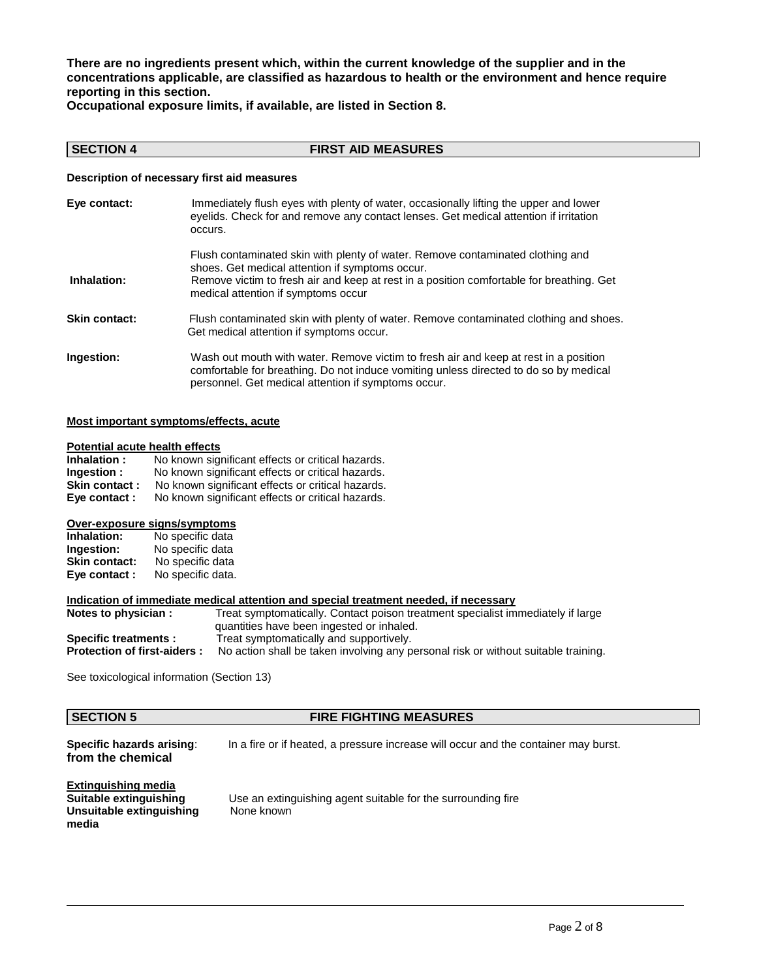**There are no ingredients present which, within the current knowledge of the supplier and in the concentrations applicable, are classified as hazardous to health or the environment and hence require reporting in this section.**

**Occupational exposure limits, if available, are listed in Section 8.**

### **SECTION 4 FIRST AID MEASURES**

### **Description of necessary first aid measures**

| Eye contact:         | Immediately flush eyes with plenty of water, occasionally lifting the upper and lower<br>eyelids. Check for and remove any contact lenses. Get medical attention if irritation<br>occurs.                                                                            |
|----------------------|----------------------------------------------------------------------------------------------------------------------------------------------------------------------------------------------------------------------------------------------------------------------|
| Inhalation:          | Flush contaminated skin with plenty of water. Remove contaminated clothing and<br>shoes. Get medical attention if symptoms occur.<br>Remove victim to fresh air and keep at rest in a position comfortable for breathing. Get<br>medical attention if symptoms occur |
| <b>Skin contact:</b> | Flush contaminated skin with plenty of water. Remove contaminated clothing and shoes.<br>Get medical attention if symptoms occur.                                                                                                                                    |
| Ingestion:           | Wash out mouth with water. Remove victim to fresh air and keep at rest in a position<br>comfortable for breathing. Do not induce vomiting unless directed to do so by medical<br>personnel. Get medical attention if symptoms occur.                                 |

### **Most important symptoms/effects, acute**

### **Potential acute health effects**

| Inhalation:   | No known significant effects or critical hazards. |
|---------------|---------------------------------------------------|
| Ingestion :   | No known significant effects or critical hazards. |
| Skin contact: | No known significant effects or critical hazards. |
| Eye contact : | No known significant effects or critical hazards. |

### **Over-exposure signs/symptoms**

| Inhalation:          | No specific data  |
|----------------------|-------------------|
| Ingestion:           | No specific data  |
| <b>Skin contact:</b> | No specific data  |
| Eye contact:         | No specific data. |

### **Indication of immediate medical attention and special treatment needed, if necessary**

| Notes to physician :               | Treat symptomatically. Contact poison treatment specialist immediately if large    |
|------------------------------------|------------------------------------------------------------------------------------|
|                                    | quantities have been ingested or inhaled.                                          |
| <b>Specific treatments:</b>        | Treat symptomatically and supportively.                                            |
| <b>Protection of first-aiders:</b> | No action shall be taken involving any personal risk or without suitable training. |

See toxicological information (Section 13)

### **SECTION 5 FIRE FIGHTING MEASURES**

**from the chemical**

**Specific hazards arising:** In a fire or if heated, a pressure increase will occur and the container may burst.

**Extinguishing media Unsuitable extinguishing media**

Use an extinguishing agent suitable for the surrounding fire<br>None known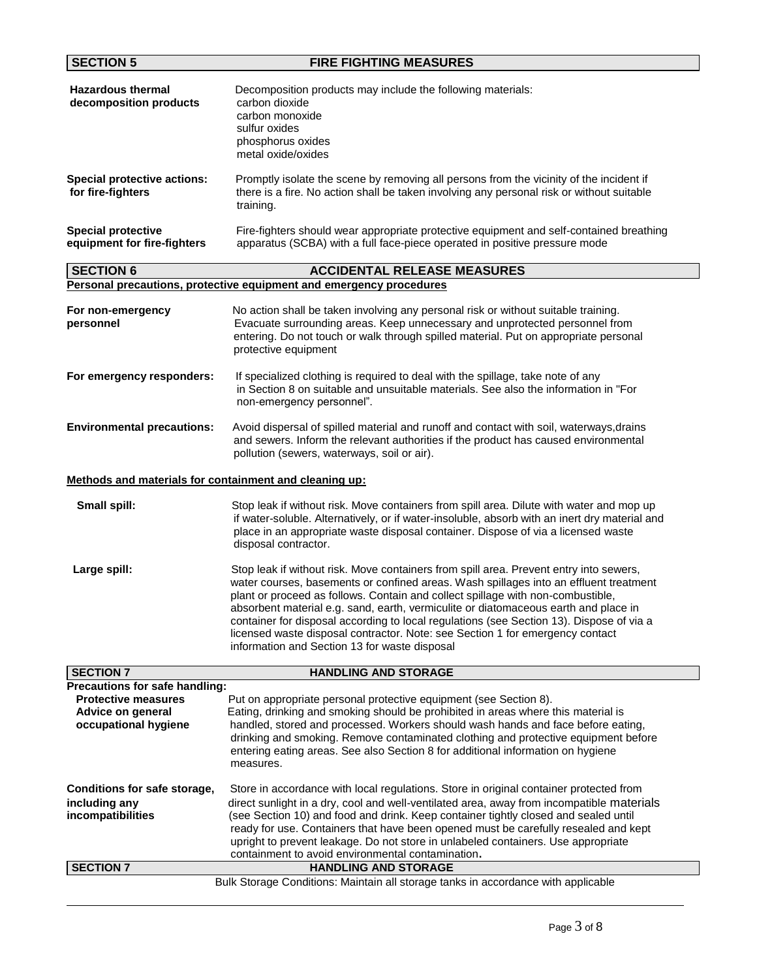| <b>SECTION 5</b>                                                                                          | <b>FIRE FIGHTING MEASURES</b>                                                                                                                                                                                                                                                                                                                                                                                                                                                                                                                                                           |
|-----------------------------------------------------------------------------------------------------------|-----------------------------------------------------------------------------------------------------------------------------------------------------------------------------------------------------------------------------------------------------------------------------------------------------------------------------------------------------------------------------------------------------------------------------------------------------------------------------------------------------------------------------------------------------------------------------------------|
| <b>Hazardous thermal</b><br>decomposition products                                                        | Decomposition products may include the following materials:<br>carbon dioxide<br>carbon monoxide<br>sulfur oxides<br>phosphorus oxides<br>metal oxide/oxides                                                                                                                                                                                                                                                                                                                                                                                                                            |
| <b>Special protective actions:</b><br>for fire-fighters                                                   | Promptly isolate the scene by removing all persons from the vicinity of the incident if<br>there is a fire. No action shall be taken involving any personal risk or without suitable<br>training.                                                                                                                                                                                                                                                                                                                                                                                       |
| <b>Special protective</b><br>equipment for fire-fighters                                                  | Fire-fighters should wear appropriate protective equipment and self-contained breathing<br>apparatus (SCBA) with a full face-piece operated in positive pressure mode                                                                                                                                                                                                                                                                                                                                                                                                                   |
| <b>SECTION 6</b>                                                                                          | <b>ACCIDENTAL RELEASE MEASURES</b>                                                                                                                                                                                                                                                                                                                                                                                                                                                                                                                                                      |
|                                                                                                           | Personal precautions, protective equipment and emergency procedures                                                                                                                                                                                                                                                                                                                                                                                                                                                                                                                     |
| For non-emergency<br>personnel                                                                            | No action shall be taken involving any personal risk or without suitable training.<br>Evacuate surrounding areas. Keep unnecessary and unprotected personnel from<br>entering. Do not touch or walk through spilled material. Put on appropriate personal<br>protective equipment                                                                                                                                                                                                                                                                                                       |
| For emergency responders:                                                                                 | If specialized clothing is required to deal with the spillage, take note of any<br>in Section 8 on suitable and unsuitable materials. See also the information in "For<br>non-emergency personnel".                                                                                                                                                                                                                                                                                                                                                                                     |
| <b>Environmental precautions:</b>                                                                         | Avoid dispersal of spilled material and runoff and contact with soil, waterways, drains<br>and sewers. Inform the relevant authorities if the product has caused environmental<br>pollution (sewers, waterways, soil or air).                                                                                                                                                                                                                                                                                                                                                           |
| Methods and materials for containment and cleaning up:                                                    |                                                                                                                                                                                                                                                                                                                                                                                                                                                                                                                                                                                         |
| Small spill:                                                                                              | Stop leak if without risk. Move containers from spill area. Dilute with water and mop up<br>if water-soluble. Alternatively, or if water-insoluble, absorb with an inert dry material and<br>place in an appropriate waste disposal container. Dispose of via a licensed waste<br>disposal contractor.                                                                                                                                                                                                                                                                                  |
| Large spill:                                                                                              | Stop leak if without risk. Move containers from spill area. Prevent entry into sewers,<br>water courses, basements or confined areas. Wash spillages into an effluent treatment<br>plant or proceed as follows. Contain and collect spillage with non-combustible,<br>absorbent material e.g. sand, earth, vermiculite or diatomaceous earth and place in<br>container for disposal according to local regulations (see Section 13). Dispose of via a<br>licensed waste disposal contractor. Note: see Section 1 for emergency contact<br>information and Section 13 for waste disposal |
| <b>SECTION 7</b>                                                                                          | <b>HANDLING AND STORAGE</b>                                                                                                                                                                                                                                                                                                                                                                                                                                                                                                                                                             |
| Precautions for safe handling:<br><b>Protective measures</b><br>Advice on general<br>occupational hygiene | Put on appropriate personal protective equipment (see Section 8).<br>Eating, drinking and smoking should be prohibited in areas where this material is<br>handled, stored and processed. Workers should wash hands and face before eating,<br>drinking and smoking. Remove contaminated clothing and protective equipment before<br>entering eating areas. See also Section 8 for additional information on hygiene<br>measures.                                                                                                                                                        |
| Conditions for safe storage,<br>including any<br>incompatibilities                                        | Store in accordance with local regulations. Store in original container protected from<br>direct sunlight in a dry, cool and well-ventilated area, away from incompatible materials<br>(see Section 10) and food and drink. Keep container tightly closed and sealed until<br>ready for use. Containers that have been opened must be carefully resealed and kept<br>upright to prevent leakage. Do not store in unlabeled containers. Use appropriate<br>containment to avoid environmental contamination.                                                                             |
| <b>SECTION 7</b>                                                                                          | <b>HANDLING AND STORAGE</b>                                                                                                                                                                                                                                                                                                                                                                                                                                                                                                                                                             |
|                                                                                                           | Bulk Storage Conditions: Maintain all storage tanks in accordance with applicable                                                                                                                                                                                                                                                                                                                                                                                                                                                                                                       |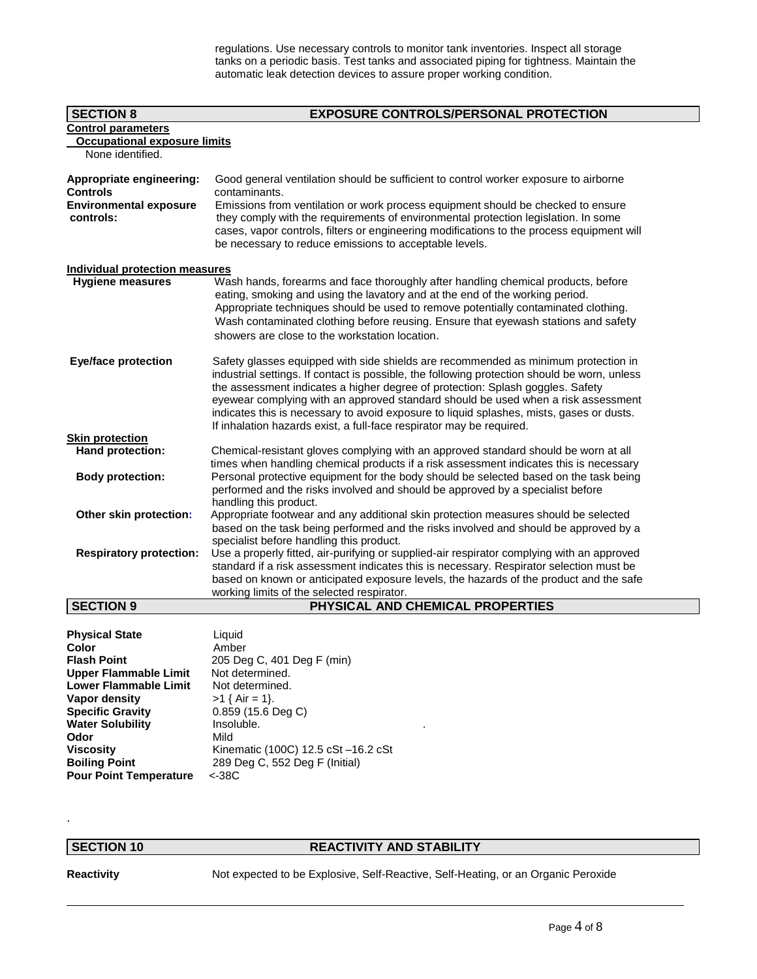regulations. Use necessary controls to monitor tank inventories. Inspect all storage tanks on a periodic basis. Test tanks and associated piping for tightness. Maintain the automatic leak detection devices to assure proper working condition.

| <b>SECTION 8</b>                            | <b>EXPOSURE CONTROLS/PERSONAL PROTECTION</b>                                                                                                                                                                                                                                                                                                                                                                                                                                                                                  |  |  |  |
|---------------------------------------------|-------------------------------------------------------------------------------------------------------------------------------------------------------------------------------------------------------------------------------------------------------------------------------------------------------------------------------------------------------------------------------------------------------------------------------------------------------------------------------------------------------------------------------|--|--|--|
| <b>Control parameters</b>                   |                                                                                                                                                                                                                                                                                                                                                                                                                                                                                                                               |  |  |  |
| <b>Occupational exposure limits</b>         |                                                                                                                                                                                                                                                                                                                                                                                                                                                                                                                               |  |  |  |
| None identified.                            |                                                                                                                                                                                                                                                                                                                                                                                                                                                                                                                               |  |  |  |
| Appropriate engineering:<br><b>Controls</b> | Good general ventilation should be sufficient to control worker exposure to airborne<br>contaminants.                                                                                                                                                                                                                                                                                                                                                                                                                         |  |  |  |
| <b>Environmental exposure</b><br>controls:  | Emissions from ventilation or work process equipment should be checked to ensure<br>they comply with the requirements of environmental protection legislation. In some<br>cases, vapor controls, filters or engineering modifications to the process equipment will<br>be necessary to reduce emissions to acceptable levels.                                                                                                                                                                                                 |  |  |  |
| Individual protection measures              |                                                                                                                                                                                                                                                                                                                                                                                                                                                                                                                               |  |  |  |
| <b>Hygiene measures</b>                     | Wash hands, forearms and face thoroughly after handling chemical products, before<br>eating, smoking and using the lavatory and at the end of the working period.<br>Appropriate techniques should be used to remove potentially contaminated clothing.<br>Wash contaminated clothing before reusing. Ensure that eyewash stations and safety<br>showers are close to the workstation location.                                                                                                                               |  |  |  |
| <b>Eye/face protection</b>                  | Safety glasses equipped with side shields are recommended as minimum protection in<br>industrial settings. If contact is possible, the following protection should be worn, unless<br>the assessment indicates a higher degree of protection: Splash goggles. Safety<br>eyewear complying with an approved standard should be used when a risk assessment<br>indicates this is necessary to avoid exposure to liquid splashes, mists, gases or dusts.<br>If inhalation hazards exist, a full-face respirator may be required. |  |  |  |
| <b>Skin protection</b>                      |                                                                                                                                                                                                                                                                                                                                                                                                                                                                                                                               |  |  |  |
| Hand protection:                            | Chemical-resistant gloves complying with an approved standard should be worn at all<br>times when handling chemical products if a risk assessment indicates this is necessary                                                                                                                                                                                                                                                                                                                                                 |  |  |  |
| <b>Body protection:</b>                     | Personal protective equipment for the body should be selected based on the task being<br>performed and the risks involved and should be approved by a specialist before<br>handling this product.                                                                                                                                                                                                                                                                                                                             |  |  |  |
| Other skin protection:                      | Appropriate footwear and any additional skin protection measures should be selected<br>based on the task being performed and the risks involved and should be approved by a<br>specialist before handling this product.                                                                                                                                                                                                                                                                                                       |  |  |  |
| <b>Respiratory protection:</b>              | Use a properly fitted, air-purifying or supplied-air respirator complying with an approved<br>standard if a risk assessment indicates this is necessary. Respirator selection must be<br>based on known or anticipated exposure levels, the hazards of the product and the safe<br>working limits of the selected respirator.                                                                                                                                                                                                 |  |  |  |
| <b>SECTION 9</b>                            | PHYSICAL AND CHEMICAL PROPERTIES                                                                                                                                                                                                                                                                                                                                                                                                                                                                                              |  |  |  |
|                                             |                                                                                                                                                                                                                                                                                                                                                                                                                                                                                                                               |  |  |  |

| <b>Physical State</b>         | Liquid                              |
|-------------------------------|-------------------------------------|
| Color                         | Amber                               |
| <b>Flash Point</b>            | 205 Deg C, 401 Deg F (min)          |
| Upper Flammable Limit         | Not determined.                     |
| <b>Lower Flammable Limit</b>  | Not determined.                     |
| Vapor density                 | $>1$ { Air = 1}.                    |
| <b>Specific Gravity</b>       | $0.859$ (15.6 Deg C)                |
| <b>Water Solubility</b>       | Insoluble.                          |
| Odor                          | Mild                                |
| <b>Viscosity</b>              | Kinematic (100C) 12.5 cSt -16.2 cSt |
| <b>Boiling Point</b>          | 289 Deg C, 552 Deg F (Initial)      |
| <b>Pour Point Temperature</b> | $<$ -38 $<$                         |

### **SECTION 10 REACTIVITY AND STABILITY**

.

**Reactivity** Not expected to be Explosive, Self-Reactive, Self-Heating, or an Organic Peroxide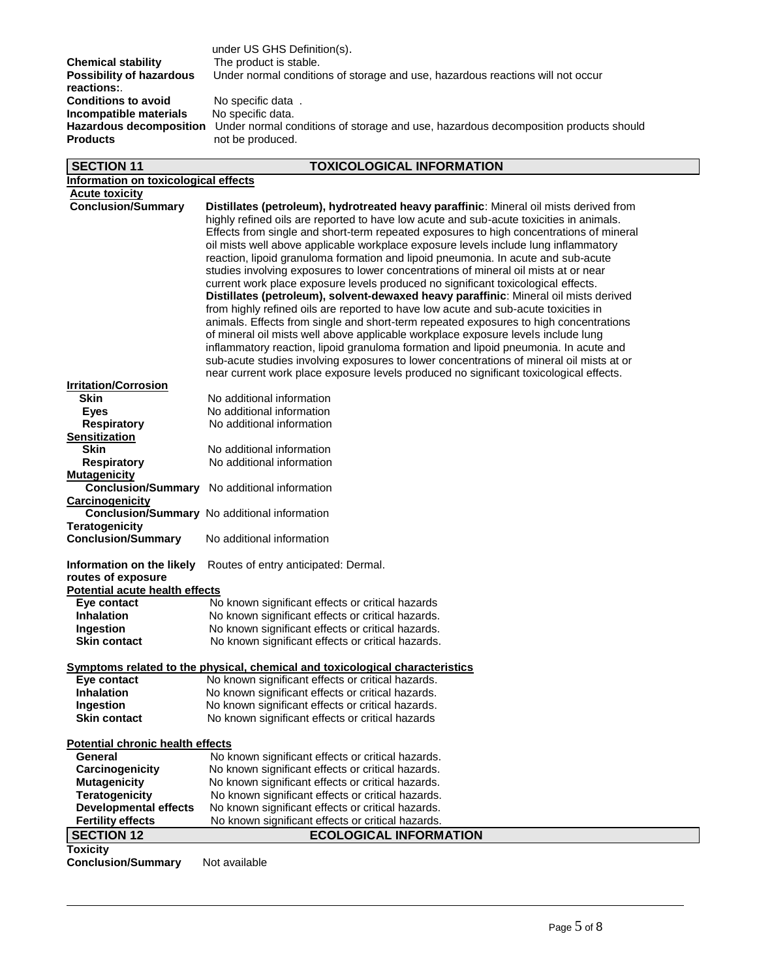|                                 | under US GHS Definition(s).  |
|---------------------------------|------------------------------|
| <b>Chemical stability</b>       | The product is stable.       |
| <b>Possibility of hazardous</b> | Under normal conditions of s |
| reactions:                      |                              |
| <b>Conditions to avoid</b>      | No specific data.            |
| Incompatible materials          | No specific data.            |
| <b>Hazardous decomposition</b>  | Under normal conditions of s |
| <b>Products</b>                 | not be produced.             |

**Postibility of storage and use, hazardous reactions will not occur Hazardous decomposition** Under normal conditions of storage and use, hazardous decomposition products should<br>**Products** mot be produced.

## **SECTION 11 TOXICOLOGICAL INFORMATION**

| Information on toxicological effects         |                                                                                                                                                                                                                                                                                                                                                                                                                                                          |  |  |  |  |  |
|----------------------------------------------|----------------------------------------------------------------------------------------------------------------------------------------------------------------------------------------------------------------------------------------------------------------------------------------------------------------------------------------------------------------------------------------------------------------------------------------------------------|--|--|--|--|--|
| <b>Acute toxicity</b>                        |                                                                                                                                                                                                                                                                                                                                                                                                                                                          |  |  |  |  |  |
| <b>Conclusion/Summary</b>                    | Distillates (petroleum), hydrotreated heavy paraffinic: Mineral oil mists derived from<br>highly refined oils are reported to have low acute and sub-acute toxicities in animals.<br>Effects from single and short-term repeated exposures to high concentrations of mineral<br>oil mists well above applicable workplace exposure levels include lung inflammatory<br>reaction, lipoid granuloma formation and lipoid pneumonia. In acute and sub-acute |  |  |  |  |  |
|                                              | studies involving exposures to lower concentrations of mineral oil mists at or near                                                                                                                                                                                                                                                                                                                                                                      |  |  |  |  |  |
|                                              | current work place exposure levels produced no significant toxicological effects.<br>Distillates (petroleum), solvent-dewaxed heavy paraffinic: Mineral oil mists derived                                                                                                                                                                                                                                                                                |  |  |  |  |  |
|                                              | from highly refined oils are reported to have low acute and sub-acute toxicities in                                                                                                                                                                                                                                                                                                                                                                      |  |  |  |  |  |
|                                              | animals. Effects from single and short-term repeated exposures to high concentrations                                                                                                                                                                                                                                                                                                                                                                    |  |  |  |  |  |
|                                              | of mineral oil mists well above applicable workplace exposure levels include lung                                                                                                                                                                                                                                                                                                                                                                        |  |  |  |  |  |
|                                              | inflammatory reaction, lipoid granuloma formation and lipoid pneumonia. In acute and                                                                                                                                                                                                                                                                                                                                                                     |  |  |  |  |  |
|                                              | sub-acute studies involving exposures to lower concentrations of mineral oil mists at or                                                                                                                                                                                                                                                                                                                                                                 |  |  |  |  |  |
| <b>Irritation/Corrosion</b>                  | near current work place exposure levels produced no significant toxicological effects.                                                                                                                                                                                                                                                                                                                                                                   |  |  |  |  |  |
| <b>Skin</b>                                  | No additional information                                                                                                                                                                                                                                                                                                                                                                                                                                |  |  |  |  |  |
| <b>Eyes</b>                                  | No additional information                                                                                                                                                                                                                                                                                                                                                                                                                                |  |  |  |  |  |
| <b>Respiratory</b>                           | No additional information                                                                                                                                                                                                                                                                                                                                                                                                                                |  |  |  |  |  |
| <b>Sensitization</b>                         |                                                                                                                                                                                                                                                                                                                                                                                                                                                          |  |  |  |  |  |
| Skin                                         | No additional information                                                                                                                                                                                                                                                                                                                                                                                                                                |  |  |  |  |  |
| <b>Respiratory</b>                           | No additional information                                                                                                                                                                                                                                                                                                                                                                                                                                |  |  |  |  |  |
| <b>Mutagenicity</b>                          |                                                                                                                                                                                                                                                                                                                                                                                                                                                          |  |  |  |  |  |
| <b>Conclusion/Summary</b>                    | No additional information                                                                                                                                                                                                                                                                                                                                                                                                                                |  |  |  |  |  |
| Carcinogenicity                              |                                                                                                                                                                                                                                                                                                                                                                                                                                                          |  |  |  |  |  |
| <b>Teratogenicity</b>                        | Conclusion/Summary No additional information                                                                                                                                                                                                                                                                                                                                                                                                             |  |  |  |  |  |
| <b>Conclusion/Summary</b>                    | No additional information                                                                                                                                                                                                                                                                                                                                                                                                                                |  |  |  |  |  |
| Information on the likely                    | Routes of entry anticipated: Dermal.                                                                                                                                                                                                                                                                                                                                                                                                                     |  |  |  |  |  |
| routes of exposure                           |                                                                                                                                                                                                                                                                                                                                                                                                                                                          |  |  |  |  |  |
| <b>Potential acute health effects</b>        |                                                                                                                                                                                                                                                                                                                                                                                                                                                          |  |  |  |  |  |
| Eye contact                                  | No known significant effects or critical hazards                                                                                                                                                                                                                                                                                                                                                                                                         |  |  |  |  |  |
| <b>Inhalation</b>                            | No known significant effects or critical hazards.                                                                                                                                                                                                                                                                                                                                                                                                        |  |  |  |  |  |
| Ingestion                                    | No known significant effects or critical hazards.                                                                                                                                                                                                                                                                                                                                                                                                        |  |  |  |  |  |
| <b>Skin contact</b>                          | No known significant effects or critical hazards.                                                                                                                                                                                                                                                                                                                                                                                                        |  |  |  |  |  |
|                                              | <b>Symptoms related to the physical, chemical and toxicological characteristics</b>                                                                                                                                                                                                                                                                                                                                                                      |  |  |  |  |  |
| Eye contact<br><b>Inhalation</b>             | No known significant effects or critical hazards.                                                                                                                                                                                                                                                                                                                                                                                                        |  |  |  |  |  |
| Ingestion                                    | No known significant effects or critical hazards.<br>No known significant effects or critical hazards.                                                                                                                                                                                                                                                                                                                                                   |  |  |  |  |  |
| <b>Skin contact</b>                          | No known significant effects or critical hazards                                                                                                                                                                                                                                                                                                                                                                                                         |  |  |  |  |  |
| Potential chronic health effects             |                                                                                                                                                                                                                                                                                                                                                                                                                                                          |  |  |  |  |  |
| <b>General</b>                               | No known significant effects or critical hazards.                                                                                                                                                                                                                                                                                                                                                                                                        |  |  |  |  |  |
| Carcinogenicity                              | No known significant effects or critical hazards.                                                                                                                                                                                                                                                                                                                                                                                                        |  |  |  |  |  |
| <b>Mutagenicity</b>                          | No known significant effects or critical hazards.                                                                                                                                                                                                                                                                                                                                                                                                        |  |  |  |  |  |
| <b>Teratogenicity</b>                        | No known significant effects or critical hazards.                                                                                                                                                                                                                                                                                                                                                                                                        |  |  |  |  |  |
| <b>Developmental effects</b>                 | No known significant effects or critical hazards.                                                                                                                                                                                                                                                                                                                                                                                                        |  |  |  |  |  |
| <b>Fertility effects</b>                     | No known significant effects or critical hazards.                                                                                                                                                                                                                                                                                                                                                                                                        |  |  |  |  |  |
| <b>SECTION 12</b>                            | <b>ECOLOGICAL INFORMATION</b>                                                                                                                                                                                                                                                                                                                                                                                                                            |  |  |  |  |  |
| <b>Toxicity</b><br><b>Conclusion/Summary</b> | Not available                                                                                                                                                                                                                                                                                                                                                                                                                                            |  |  |  |  |  |
|                                              |                                                                                                                                                                                                                                                                                                                                                                                                                                                          |  |  |  |  |  |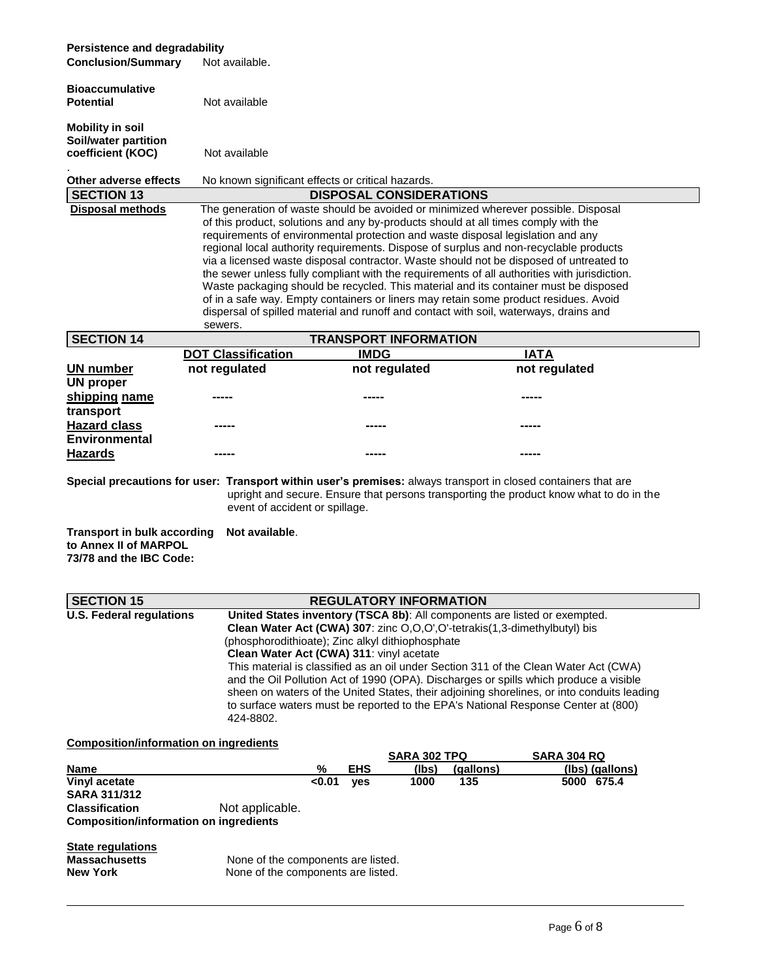### **Persistence and degradability**

| <b>Conclusion/Summary</b>                                                              | Not available.                                                                                                                                                                                                                                                                                                                                                                                                                                                                                                                                                                                                                                                                                                                                                                                                                     |                                                                                              |                                                                           |                                                                                                                                                                                                                                                                                                                                                                                                                                                       |  |  |  |
|----------------------------------------------------------------------------------------|------------------------------------------------------------------------------------------------------------------------------------------------------------------------------------------------------------------------------------------------------------------------------------------------------------------------------------------------------------------------------------------------------------------------------------------------------------------------------------------------------------------------------------------------------------------------------------------------------------------------------------------------------------------------------------------------------------------------------------------------------------------------------------------------------------------------------------|----------------------------------------------------------------------------------------------|---------------------------------------------------------------------------|-------------------------------------------------------------------------------------------------------------------------------------------------------------------------------------------------------------------------------------------------------------------------------------------------------------------------------------------------------------------------------------------------------------------------------------------------------|--|--|--|
| <b>Bioaccumulative</b><br><b>Potential</b>                                             | Not available                                                                                                                                                                                                                                                                                                                                                                                                                                                                                                                                                                                                                                                                                                                                                                                                                      |                                                                                              |                                                                           |                                                                                                                                                                                                                                                                                                                                                                                                                                                       |  |  |  |
| <b>Mobility in soil</b>                                                                |                                                                                                                                                                                                                                                                                                                                                                                                                                                                                                                                                                                                                                                                                                                                                                                                                                    |                                                                                              |                                                                           |                                                                                                                                                                                                                                                                                                                                                                                                                                                       |  |  |  |
| Soil/water partition<br>coefficient (KOC)                                              | Not available                                                                                                                                                                                                                                                                                                                                                                                                                                                                                                                                                                                                                                                                                                                                                                                                                      |                                                                                              |                                                                           |                                                                                                                                                                                                                                                                                                                                                                                                                                                       |  |  |  |
| Other adverse effects                                                                  | No known significant effects or critical hazards.                                                                                                                                                                                                                                                                                                                                                                                                                                                                                                                                                                                                                                                                                                                                                                                  |                                                                                              |                                                                           |                                                                                                                                                                                                                                                                                                                                                                                                                                                       |  |  |  |
| <b>SECTION 13</b>                                                                      |                                                                                                                                                                                                                                                                                                                                                                                                                                                                                                                                                                                                                                                                                                                                                                                                                                    |                                                                                              | <b>DISPOSAL CONSIDERATIONS</b>                                            |                                                                                                                                                                                                                                                                                                                                                                                                                                                       |  |  |  |
| <b>Disposal methods</b>                                                                | The generation of waste should be avoided or minimized wherever possible. Disposal<br>of this product, solutions and any by-products should at all times comply with the<br>requirements of environmental protection and waste disposal legislation and any<br>regional local authority requirements. Dispose of surplus and non-recyclable products<br>via a licensed waste disposal contractor. Waste should not be disposed of untreated to<br>the sewer unless fully compliant with the requirements of all authorities with jurisdiction.<br>Waste packaging should be recycled. This material and its container must be disposed<br>of in a safe way. Empty containers or liners may retain some product residues. Avoid<br>dispersal of spilled material and runoff and contact with soil, waterways, drains and<br>sewers. |                                                                                              |                                                                           |                                                                                                                                                                                                                                                                                                                                                                                                                                                       |  |  |  |
| <b>SECTION 14</b>                                                                      |                                                                                                                                                                                                                                                                                                                                                                                                                                                                                                                                                                                                                                                                                                                                                                                                                                    |                                                                                              | <b>TRANSPORT INFORMATION</b>                                              |                                                                                                                                                                                                                                                                                                                                                                                                                                                       |  |  |  |
| UN number<br><b>UN proper</b>                                                          | <b>DOT Classification</b><br>not regulated                                                                                                                                                                                                                                                                                                                                                                                                                                                                                                                                                                                                                                                                                                                                                                                         | <b>IMDG</b><br>not regulated                                                                 |                                                                           | <b>IATA</b><br>not regulated                                                                                                                                                                                                                                                                                                                                                                                                                          |  |  |  |
| shipping name                                                                          |                                                                                                                                                                                                                                                                                                                                                                                                                                                                                                                                                                                                                                                                                                                                                                                                                                    |                                                                                              |                                                                           |                                                                                                                                                                                                                                                                                                                                                                                                                                                       |  |  |  |
| transport                                                                              |                                                                                                                                                                                                                                                                                                                                                                                                                                                                                                                                                                                                                                                                                                                                                                                                                                    |                                                                                              |                                                                           |                                                                                                                                                                                                                                                                                                                                                                                                                                                       |  |  |  |
| <b>Hazard class</b><br><b>Environmental</b>                                            |                                                                                                                                                                                                                                                                                                                                                                                                                                                                                                                                                                                                                                                                                                                                                                                                                                    |                                                                                              |                                                                           |                                                                                                                                                                                                                                                                                                                                                                                                                                                       |  |  |  |
| <b>Hazards</b>                                                                         |                                                                                                                                                                                                                                                                                                                                                                                                                                                                                                                                                                                                                                                                                                                                                                                                                                    |                                                                                              |                                                                           |                                                                                                                                                                                                                                                                                                                                                                                                                                                       |  |  |  |
| <b>Transport in bulk according</b><br>to Annex II of MARPOL<br>73/78 and the IBC Code: | event of accident or spillage.<br>Not available.                                                                                                                                                                                                                                                                                                                                                                                                                                                                                                                                                                                                                                                                                                                                                                                   |                                                                                              |                                                                           | Special precautions for user: Transport within user's premises: always transport in closed containers that are<br>upright and secure. Ensure that persons transporting the product know what to do in the                                                                                                                                                                                                                                             |  |  |  |
| <b>SECTION 15</b>                                                                      |                                                                                                                                                                                                                                                                                                                                                                                                                                                                                                                                                                                                                                                                                                                                                                                                                                    |                                                                                              | <b>REGULATORY INFORMATION</b>                                             |                                                                                                                                                                                                                                                                                                                                                                                                                                                       |  |  |  |
| U.S. Federal regulations                                                               | 424-8802.                                                                                                                                                                                                                                                                                                                                                                                                                                                                                                                                                                                                                                                                                                                                                                                                                          | (phosphorodithioate); Zinc alkyl dithiophosphate<br>Clean Water Act (CWA) 311: vinyl acetate | Clean Water Act (CWA) 307: zinc O,O,O',O'-tetrakis(1,3-dimethylbutyl) bis | <b>United States inventory (TSCA 8b)</b> : All components are listed or exempted.<br>This material is classified as an oil under Section 311 of the Clean Water Act (CWA)<br>and the Oil Pollution Act of 1990 (OPA). Discharges or spills which produce a visible<br>sheen on waters of the United States, their adjoining shorelines, or into conduits leading<br>to surface waters must be reported to the EPA's National Response Center at (800) |  |  |  |
| <b>Composition/information on ingredients</b>                                          |                                                                                                                                                                                                                                                                                                                                                                                                                                                                                                                                                                                                                                                                                                                                                                                                                                    |                                                                                              |                                                                           |                                                                                                                                                                                                                                                                                                                                                                                                                                                       |  |  |  |
| <b>Name</b>                                                                            |                                                                                                                                                                                                                                                                                                                                                                                                                                                                                                                                                                                                                                                                                                                                                                                                                                    | %<br><b>EHS</b>                                                                              | <b>SARA 302 TPQ</b><br>(lbs)<br>(gallons)                                 | <b>SARA 304 RQ</b><br>(lbs) (gallons)                                                                                                                                                                                                                                                                                                                                                                                                                 |  |  |  |
| Vinyl acetate<br><b>SARA 311/312</b>                                                   |                                                                                                                                                                                                                                                                                                                                                                                                                                                                                                                                                                                                                                                                                                                                                                                                                                    | <0.01<br>yes                                                                                 | 1000<br>135                                                               | 5000 675.4                                                                                                                                                                                                                                                                                                                                                                                                                                            |  |  |  |
| <b>Classification</b><br><b>Composition/information on ingredients</b>                 | Not applicable.                                                                                                                                                                                                                                                                                                                                                                                                                                                                                                                                                                                                                                                                                                                                                                                                                    |                                                                                              |                                                                           |                                                                                                                                                                                                                                                                                                                                                                                                                                                       |  |  |  |
| <b>State regulations</b><br><b>Massachusetts</b><br><b>New York</b>                    |                                                                                                                                                                                                                                                                                                                                                                                                                                                                                                                                                                                                                                                                                                                                                                                                                                    | None of the components are listed.<br>None of the components are listed.                     |                                                                           |                                                                                                                                                                                                                                                                                                                                                                                                                                                       |  |  |  |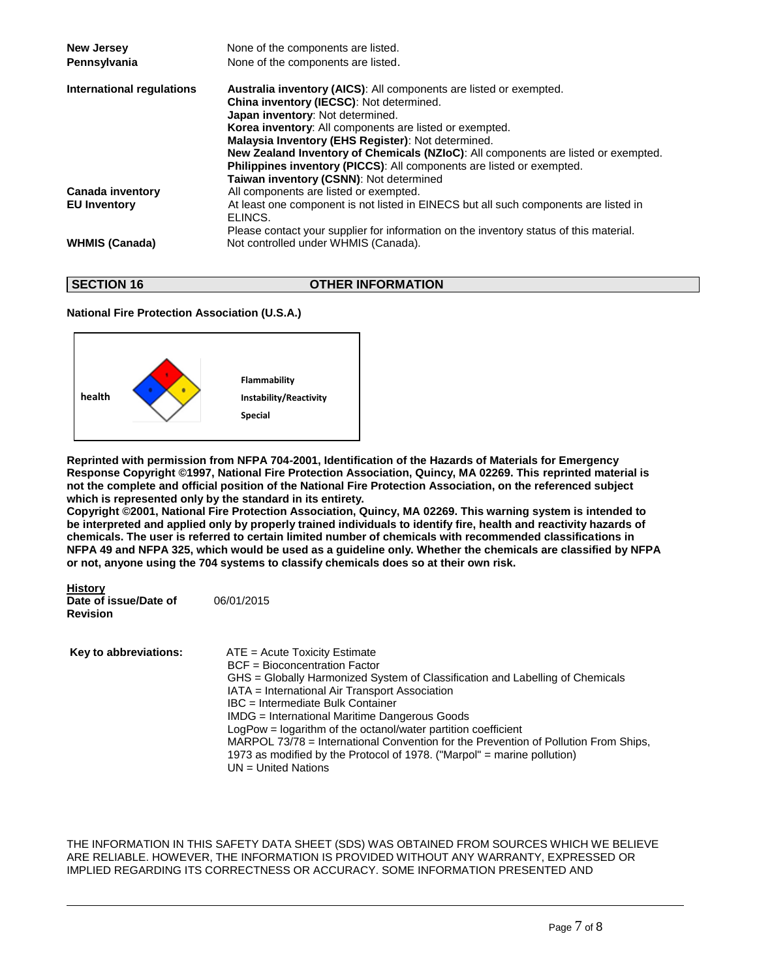| <b>New Jersey</b>         | None of the components are listed.                                                              |
|---------------------------|-------------------------------------------------------------------------------------------------|
| Pennsylvania              | None of the components are listed.                                                              |
| International regulations | <b>Australia inventory (AICS):</b> All components are listed or exempted.                       |
|                           | China inventory (IECSC): Not determined.                                                        |
|                           | Japan inventory: Not determined.                                                                |
|                           | Korea inventory: All components are listed or exempted.                                         |
|                           | Malaysia Inventory (EHS Register): Not determined.                                              |
|                           | <b>New Zealand Inventory of Chemicals (NZIoC):</b> All components are listed or exempted.       |
|                           | <b>Philippines inventory (PICCS):</b> All components are listed or exempted.                    |
|                           | Taiwan inventory (CSNN): Not determined                                                         |
| <b>Canada inventory</b>   | All components are listed or exempted.                                                          |
| <b>EU Inventory</b>       | At least one component is not listed in EINECS but all such components are listed in<br>ELINCS. |
|                           | Please contact your supplier for information on the inventory status of this material.          |
| <b>WHMIS (Canada)</b>     | Not controlled under WHMIS (Canada).                                                            |
|                           |                                                                                                 |

**SECTION 16 OTHER INFORMATION** 

### **National Fire Protection Association (U.S.A.)**



**Reprinted with permission from NFPA 704-2001, Identification of the Hazards of Materials for Emergency Response Copyright ©1997, National Fire Protection Association, Quincy, MA 02269. This reprinted material is not the complete and official position of the National Fire Protection Association, on the referenced subject which is represented only by the standard in its entirety.**

**Copyright ©2001, National Fire Protection Association, Quincy, MA 02269. This warning system is intended to be interpreted and applied only by properly trained individuals to identify fire, health and reactivity hazards of chemicals. The user is referred to certain limited number of chemicals with recommended classifications in NFPA 49 and NFPA 325, which would be used as a guideline only. Whether the chemicals are classified by NFPA or not, anyone using the 704 systems to classify chemicals does so at their own risk.**

**History Date of issue/Date of** 06/01/2015 **Revision** 

**Key to abbreviations:** ATE = Acute Toxicity Estimate BCF = Bioconcentration Factor GHS = Globally Harmonized System of Classification and Labelling of Chemicals IATA = International Air Transport Association IBC = Intermediate Bulk Container IMDG = International Maritime Dangerous Goods LogPow = logarithm of the octanol/water partition coefficient MARPOL 73/78 = International Convention for the Prevention of Pollution From Ships, 1973 as modified by the Protocol of 1978. ("Marpol" = marine pollution)  $UN = United Nations$ 

THE INFORMATION IN THIS SAFETY DATA SHEET (SDS) WAS OBTAINED FROM SOURCES WHICH WE BELIEVE ARE RELIABLE. HOWEVER, THE INFORMATION IS PROVIDED WITHOUT ANY WARRANTY, EXPRESSED OR IMPLIED REGARDING ITS CORRECTNESS OR ACCURACY. SOME INFORMATION PRESENTED AND